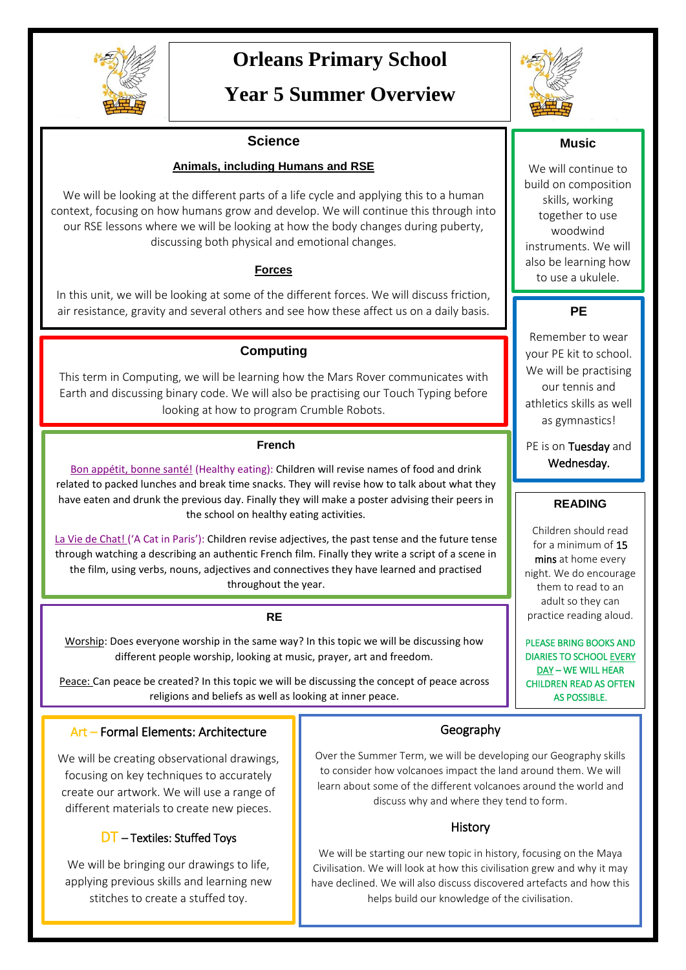

# **Orleans Primary School**

## **Year 5 Summer Overview**

#### **Science**

#### **Animals, including Humans and RSE**

We will be looking at the different parts of a life cycle and applying this to a human context, focusing on how humans grow and develop. We will continue this through into our RSE lessons where we will be looking at how the body changes during puberty, discussing both physical and emotional changes.

#### **Forces**

In this unit, we will be looking at some of the different forces. We will discuss friction, air resistance, gravity and several others and see how these affect us on a daily basis.

### **Computing**

This term in Computing, we will be learning how the Mars Rover communicates with Earth and discussing binary code. We will also be practising our Touch Typing before looking at how to program Crumble Robots.

#### **French**

Bon appétit, bonne santé! (Healthy eating): Children will revise names of food and drink related to packed lunches and break time snacks. They will revise how to talk about what they have eaten and drunk the previous day. Finally they will make a poster advising their peers in the school on healthy eating activities.

La Vie de Chat! ('A Cat in Paris'): Children revise adjectives, the past tense and the future tense through watching a describing an authentic French film. Finally they write a script of a scene in the film, using verbs, nouns, adjectives and connectives they have learned and practised throughout the year.

**RE**

Worship: Does everyone worship in the same way? In this topic we will be discussing how different people worship, looking at music, prayer, art and freedom.

Peace: Can peace be created? In this topic we will be discussing the concept of peace across religions and beliefs as well as looking at inner peace.

#### **Music**

We will continue to build on composition skills, working together to use woodwind instruments. We will also be learning how to use a ukulele.

### **PE**

Remember to wear your PE kit to school. We will be practising our tennis and athletics skills as well as gymnastics!

PE is on Tuesday and Wednesday.

#### **READING**

Children should read for a minimum of 15 mins at home every night. We do encourage them to read to an adult so they can practice reading aloud.

PLEASE BRING BOOKS AND DIARIES TO SCHOOL EVERY DAY – WE WILL HEAR CHILDREN READ AS OFTEN AS POSSIBLE.

#### -Symbols Art – Formal Elements: Architecture

We will be creating observational drawings, focusing on key techniques to accurately create our artwork. We will use a range of different materials to create new pieces.

### DT – Textiles: Stuffed Toys

We will be bringing our drawings to life, applying previous skills and learning new stitches to create a stuffed toy.

#### Geography

Over the Summer Term, we will be developing our Geography skills to consider how volcanoes impact the land around them. We will learn about some of the different volcanoes around the world and discuss why and where they tend to form.

### **History**

We will be starting our new topic in history, focusing on the Maya Civilisation. We will look at how this civilisation grew and why it may have declined. We will also discuss discovered artefacts and how this helps build our knowledge of the civilisation.